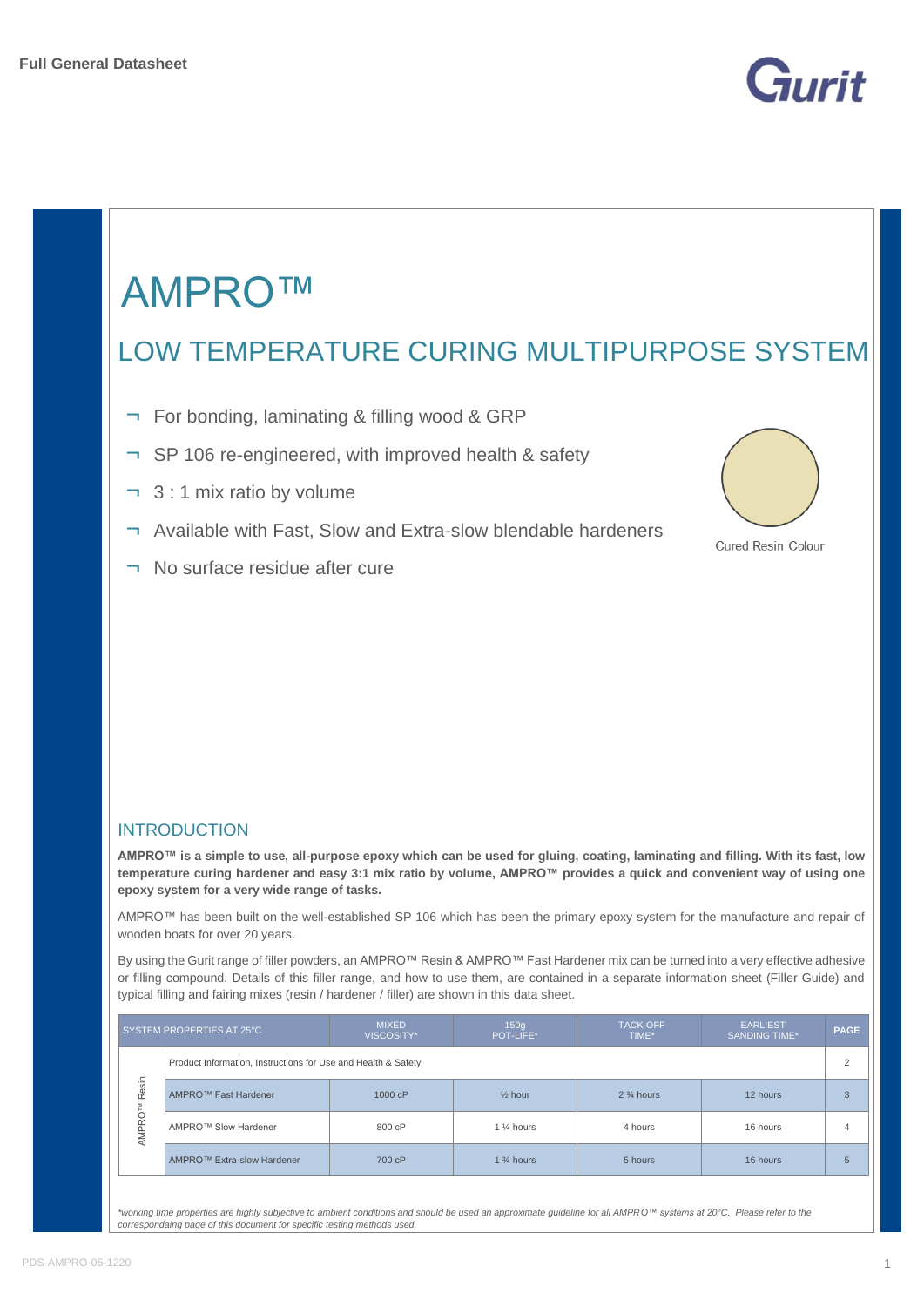



# LOW TEMPERATURE CURING MULTIPURPOSE SYSTEM

- ¬ For bonding, laminating & filling wood & GRP
- ¬ SP 106 re-engineered, with improved health & safety
- ¬ 3 : 1 mix ratio by volume
- ¬ Available with Fast, Slow and Extra-slow blendable hardeners
- ¬ No surface residue after cure



Cured Resin Colour

#### **INTRODUCTION**

**AMPRO™ is a simple to use, all-purpose epoxy which can be used for gluing, coating, laminating and filling. With its fast, low temperature curing hardener and easy 3:1 mix ratio by volume, AMPRO™ provides a quick and convenient way of using one epoxy system for a very wide range of tasks.**

AMPRO™ has been built on the well-established SP 106 which has been the primary epoxy system for the manufacture and repair of wooden boats for over 20 years.

By using the Gurit range of filler powders, an AMPRO™ Resin & AMPRO™ Fast Hardener mix can be turned into a very effective adhesive or filling compound. Details of this filler range, and how to use them, are contained in a separate information sheet (Filler Guide) and typical filling and fairing mixes (resin / hardener / filler) are shown in this data sheet.

|       | SYSTEM PROPERTIES AT 25°C                                     | <b>MIXED</b><br>VISCOSITY* | <b>TACK-OFF</b><br>150q<br><b>EARLIEST</b><br><b>PAGE</b><br>POT-LIFE*<br>TIME*<br><b>SANDING TIME*</b> |                      |          |                 |  |
|-------|---------------------------------------------------------------|----------------------------|---------------------------------------------------------------------------------------------------------|----------------------|----------|-----------------|--|
|       | Product Information, Instructions for Use and Health & Safety |                            |                                                                                                         |                      |          | $\overline{2}$  |  |
| Resin | AMPRO™ Fast Hardener                                          | 1000 cP                    | $%$ hour                                                                                                | $2\frac{3}{4}$ hours | 12 hours | B               |  |
| AMPRO | AMPRO™ Slow Hardener                                          | 800 cP                     | 1 % hours                                                                                               | 4 hours              | 16 hours | 4               |  |
|       | AMPRO™ Extra-slow Hardener                                    | 700 cP                     | 1 $\frac{3}{4}$ hours                                                                                   | 5 hours              | 16 hours | $5\overline{)}$ |  |

*\*working time properties are highly subjective to ambient conditions and should be used an approximate guideline for all AMPRO™ systems at 20°C. Please refer to the correspondaing page of this document for specific testing methods used.*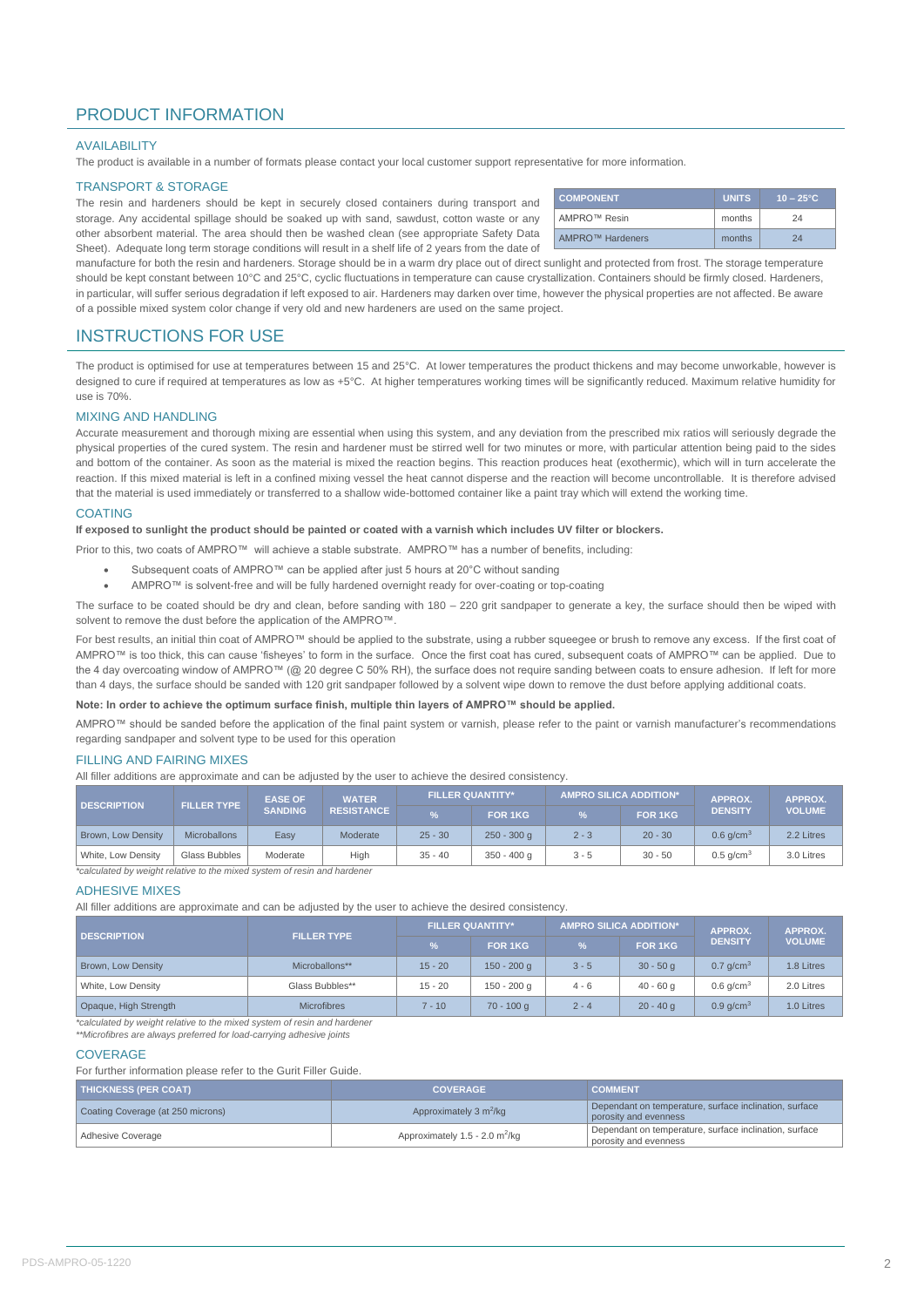### PRODUCT INFORMATION

#### AVAILABILITY

The product is available in a number of formats please contact your local customer support representative for more information.

#### TRANSPORT & STORAGE

The resin and hardeners should be kept in securely closed containers during transport and storage. Any accidental spillage should be soaked up with sand, sawdust, cotton waste or any other absorbent material. The area should then be washed clean (see appropriate Safety Data Sheet). Adequate long term storage conditions will result in a shelf life of 2 years from the date of

| <b>COMPONENT</b> | <b>UNITS</b> | $10 - 25^{\circ}$ C |
|------------------|--------------|---------------------|
| AMPRO™ Resin     | months       | 24                  |
| AMPRO™ Hardeners | months       | 24                  |

manufacture for both the resin and hardeners. Storage should be in a warm dry place out of direct sunlight and protected from frost. The storage temperature should be kept constant between 10°C and 25°C, cyclic fluctuations in temperature can cause crystallization. Containers should be firmly closed. Hardeners, in particular, will suffer serious degradation if left exposed to air. Hardeners may darken over time, however the physical properties are not affected. Be aware of a possible mixed system color change if very old and new hardeners are used on the same project.

#### INSTRUCTIONS FOR USE

The product is optimised for use at temperatures between 15 and 25°C. At lower temperatures the product thickens and may become unworkable, however is designed to cure if required at temperatures as low as +5°C. At higher temperatures working times will be significantly reduced. Maximum relative humidity for use is 70%.

#### MIXING AND HANDLING

Accurate measurement and thorough mixing are essential when using this system, and any deviation from the prescribed mix ratios will seriously degrade the physical properties of the cured system. The resin and hardener must be stirred well for two minutes or more, with particular attention being paid to the sides and bottom of the container. As soon as the material is mixed the reaction begins. This reaction produces heat (exothermic), which will in turn accelerate the reaction. If this mixed material is left in a confined mixing vessel the heat cannot disperse and the reaction will become uncontrollable. It is therefore advised that the material is used immediately or transferred to a shallow wide-bottomed container like a paint tray which will extend the working time.

#### **COATING**

#### **If exposed to sunlight the product should be painted or coated with a varnish which includes UV filter or blockers.**

Prior to this, two coats of AMPRO™ will achieve a stable substrate. AMPRO™ has a number of benefits, including:

- Subsequent coats of AMPRO™ can be applied after just 5 hours at 20°C without sanding
- AMPRO™ is solvent-free and will be fully hardened overnight ready for over-coating or top-coating

The surface to be coated should be dry and clean, before sanding with 180 – 220 grit sandpaper to generate a key, the surface should then be wiped with solvent to remove the dust before the application of the AMPRO™.

For best results, an initial thin coat of AMPRO™ should be applied to the substrate, using a rubber squeeqee or brush to remove any excess. If the first coat of AMPRO™ is too thick, this can cause 'fisheyes' to form in the surface. Once the first coat has cured, subsequent coats of AMPRO™ can be applied. Due to the 4 day overcoating window of AMPRO™ (@ 20 degree C 50% RH), the surface does not require sanding between coats to ensure adhesion. If left for more than 4 days, the surface should be sanded with 120 grit sandpaper followed by a solvent wipe down to remove the dust before applying additional coats.

#### **Note: In order to achieve the optimum surface finish, multiple thin layers of AMPRO™ should be applied.**

AMPRO™ should be sanded before the application of the final paint system or varnish, please refer to the paint or varnish manufacturer's recommendations regarding sandpaper and solvent type to be used for this operation

#### FILLING AND FAIRING MIXES

All filler additions are approximate and can be adjusted by the user to achieve the desired consistency.

| <b>DESCRIPTION</b>        | <b>FILLER TYPE</b>                                                       | <b>EASE OF</b><br><b>WATER</b> |                   | <b>FILLER QUANTITY*</b> |               | <b>AMPRO SILICA ADDITION*</b> |           | <b>APPROX.</b>          | APPROX.       |  |  |
|---------------------------|--------------------------------------------------------------------------|--------------------------------|-------------------|-------------------------|---------------|-------------------------------|-----------|-------------------------|---------------|--|--|
|                           |                                                                          | <b>SANDING</b>                 | <b>RESISTANCE</b> | $\frac{9}{6}$           | FOR 1KG       | $\frac{9}{6}$                 | FOR 1KG   | <b>DENSITY</b>          | <b>VOLUME</b> |  |  |
| <b>Brown, Low Density</b> | <b>Microballons</b>                                                      | Easy                           | Moderate          | $25 - 30$               | $250 - 300$ q | $2 - 3$                       | $20 - 30$ | $0.6$ g/cm <sup>3</sup> | 2.2 Litres    |  |  |
| White, Low Density        | Glass Bubbles                                                            | Moderate                       | High              | $35 - 40$               | $350 - 400$ q | $3 - 5$                       | $30 - 50$ | $0.5$ g/cm <sup>3</sup> | 3.0 Litres    |  |  |
|                           | *calculated by weight relative to the mixed system of resin and hardener |                                |                   |                         |               |                               |           |                         |               |  |  |

#### ADHESIVE MIXES

All filler additions are approximate and can be adjusted by the user to achieve the desired consistency.

|                    | <b>FILLER QUANTITY*</b>                                                                          |               | <b>AMPRO SILICA ADDITION*</b> |                | APPROX.                 | <b>APPROX.</b> |
|--------------------|--------------------------------------------------------------------------------------------------|---------------|-------------------------------|----------------|-------------------------|----------------|
|                    | ℅                                                                                                | FOR 1KG       | $\frac{9}{6}$                 | <b>FOR 1KG</b> | <b>DENSITY</b>          | <b>VOLUME</b>  |
| Microballons**     | $15 - 20$                                                                                        | $150 - 200$ g | $3 - 5$                       | $30 - 50a$     | $0.7$ g/cm <sup>3</sup> | 1.8 Litres     |
| Glass Bubbles**    | $15 - 20$                                                                                        | 150 - 200 g   | $4 - 6$                       | $40 - 60a$     | $0.6$ g/cm <sup>3</sup> | 2.0 Litres     |
| <b>Microfibres</b> | $7 - 10$                                                                                         | $70 - 100$ q  | $2 - 4$                       | $20 - 40$ a    | $0.9$ a/cm <sup>3</sup> | 1.0 Litres     |
|                    | <b>FILLER TYPE</b><br>toplay lated by waight relative to the mixed overage of reain and berdener |               |                               |                |                         |                |

lated by weight relative to the mixed system of resin and hardene

#### *\*\*Microfibres are always preferred for load-carrying adhesive joints*

#### **COVERAGE**

For further information please refer to the Gurit Filler Guide.

| <b>THICKNESS (PER COAT)</b>       | <b>COVERAGE</b>                              | <b>COMMENT</b>                                                                  |
|-----------------------------------|----------------------------------------------|---------------------------------------------------------------------------------|
| Coating Coverage (at 250 microns) | Approximately 3 m <sup>2</sup> /kg           | Dependant on temperature, surface inclination, surface<br>porosity and evenness |
| Adhesive Coverage                 | Approximately $1.5 - 2.0$ m <sup>2</sup> /kg | Dependant on temperature, surface inclination, surface<br>porosity and evenness |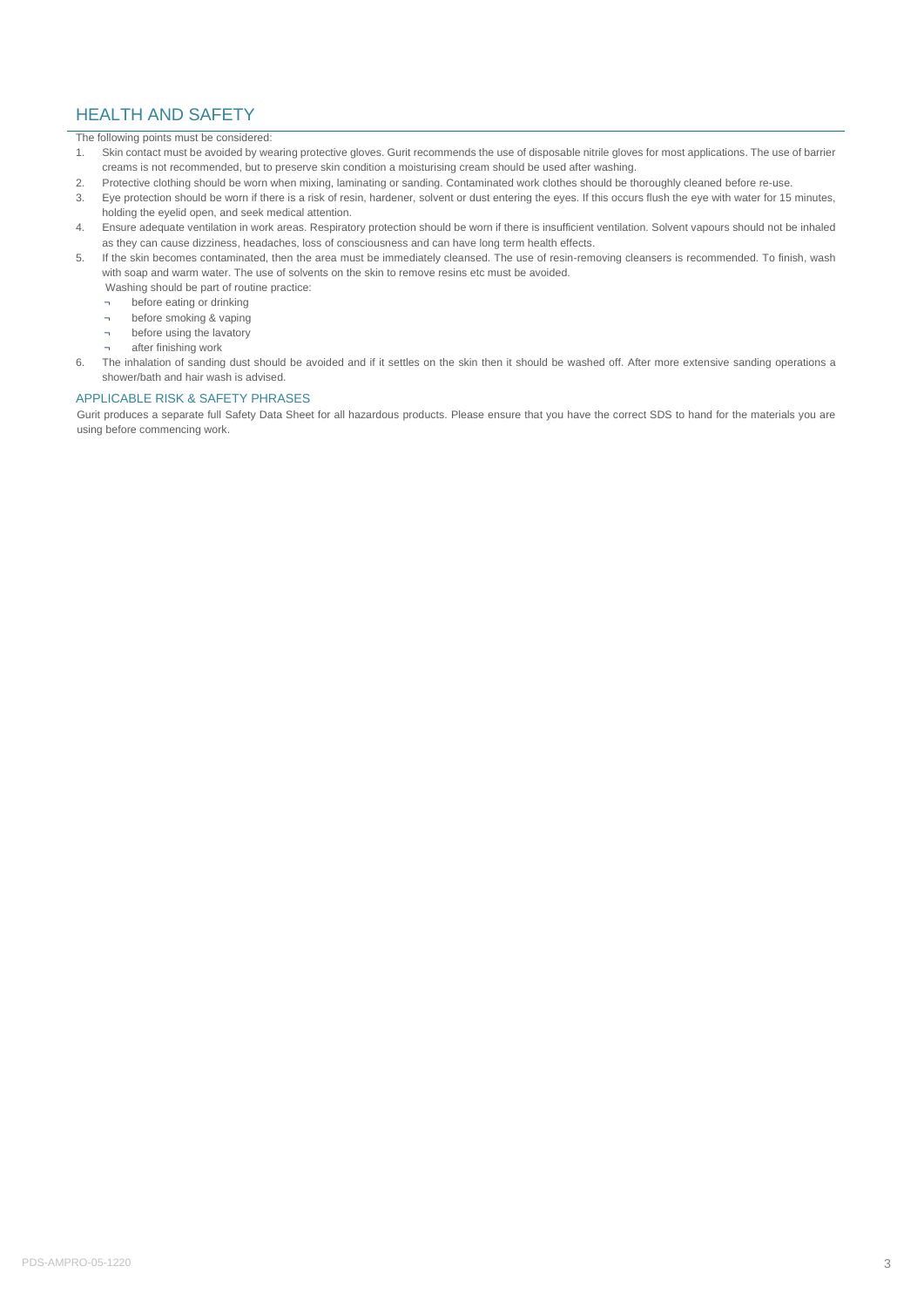### HEALTH AND SAFETY

The following points must be considered:

- 1. Skin contact must be avoided by wearing protective gloves. Gurit recommends the use of disposable nitrile gloves for most applications. The use of barrier creams is not recommended, but to preserve skin condition a moisturising cream should be used after washing.
- 2. Protective clothing should be worn when mixing, laminating or sanding. Contaminated work clothes should be thoroughly cleaned before re-use.
- 3. Eye protection should be worn if there is a risk of resin, hardener, solvent or dust entering the eyes. If this occurs flush the eye with water for 15 minutes, holding the eyelid open, and seek medical attention.
- 4. Ensure adequate ventilation in work areas. Respiratory protection should be worn if there is insufficient ventilation. Solvent vapours should not be inhaled as they can cause dizziness, headaches, loss of consciousness and can have long term health effects.
- 5. If the skin becomes contaminated, then the area must be immediately cleansed. The use of resin-removing cleansers is recommended. To finish, wash with soap and warm water. The use of solvents on the skin to remove resins etc must be avoided.
	- Washing should be part of routine practice:
	- ¬ before eating or drinking
	- ¬ before smoking & vaping ¬ before using the lavatory
	- ¬ after finishing work
- 6. The inhalation of sanding dust should be avoided and if it settles on the skin then it should be washed off. After more extensive sanding operations a shower/bath and hair wash is advised.

#### APPLICABLE RISK & SAFETY PHRASES

Gurit produces a separate full Safety Data Sheet for all hazardous products. Please ensure that you have the correct SDS to hand for the materials you are using before commencing work.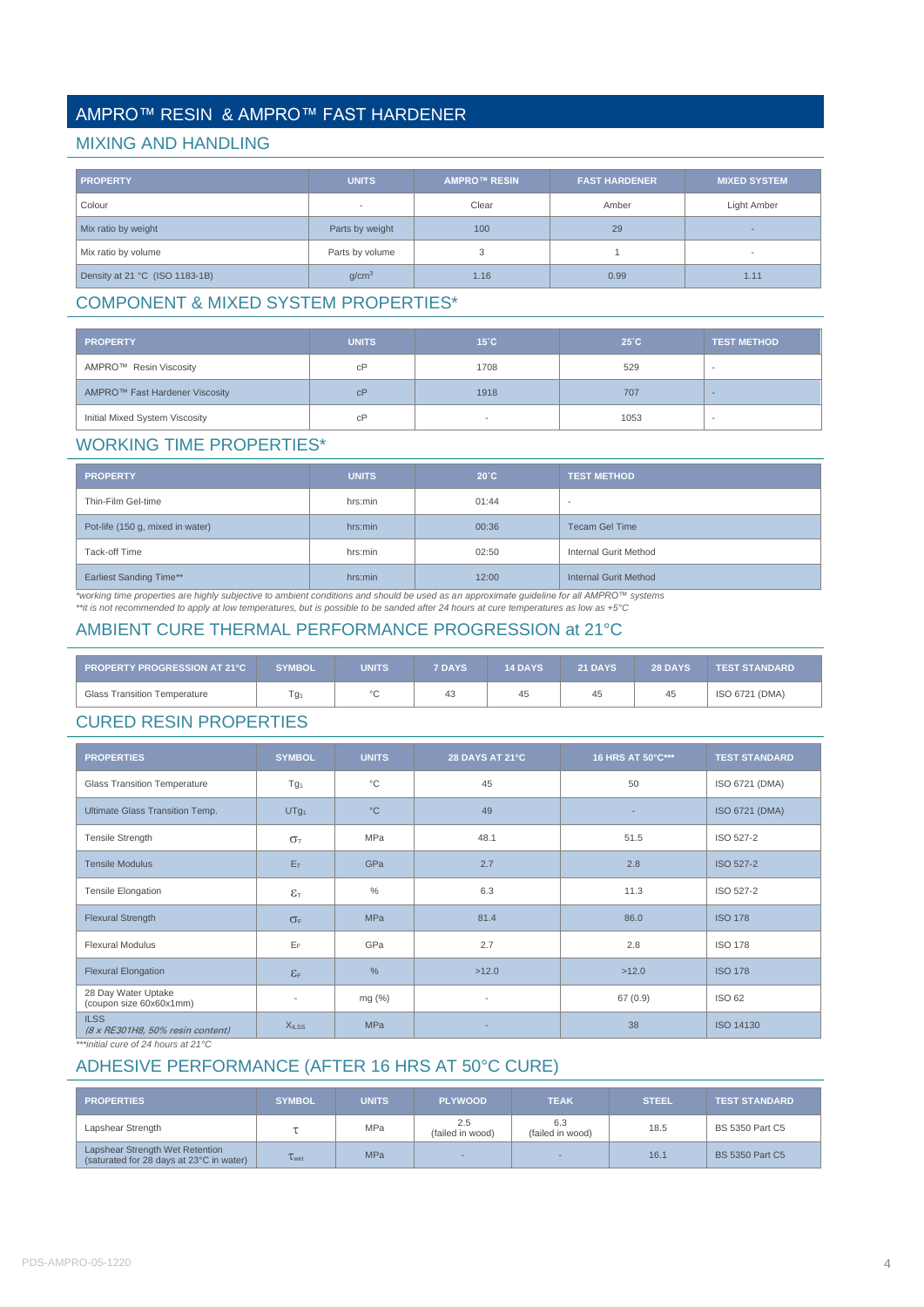# AMPRO™ RESIN & AMPRO™ FAST HARDENER

#### MIXING AND HANDLING

| <b>PROPERTY</b>                | <b>UNITS</b>             | <b>AMPRO™ RESIN</b> | <b>FAST HARDENER</b> | <b>MIXED SYSTEM</b>      |
|--------------------------------|--------------------------|---------------------|----------------------|--------------------------|
| Colour                         | $\overline{\phantom{a}}$ | Clear               | Amber                | Light Amber              |
| Mix ratio by weight            | Parts by weight          | 100                 | 29                   |                          |
| Mix ratio by volume            | Parts by volume          | 3                   |                      | $\overline{\phantom{a}}$ |
| Density at 21 °C (ISO 1183-1B) | q/cm <sup>3</sup>        | 1.16                | 0.99                 | 1.11                     |

# COMPONENT & MIXED SYSTEM PROPERTIES\*

| <b>PROPERTY</b>                | <b>UNITS</b> | $15^{\circ}$ C | 25°C | <b>TEST METHOD</b>       |
|--------------------------------|--------------|----------------|------|--------------------------|
| AMPRO™ Resin Viscosity         | сP           | 1708           | 529  | $\overline{\phantom{a}}$ |
| AMPRO™ Fast Hardener Viscosity | cP           | 1918           | 707  | $\overline{\phantom{0}}$ |
| Initial Mixed System Viscosity | сP           |                | 1053 |                          |

### WORKING TIME PROPERTIES\*

| <b>PROPERTY</b>                  | <b>UNITS</b> | $20^{\circ}$ C | <b>TEST METHOD</b>       |
|----------------------------------|--------------|----------------|--------------------------|
| Thin-Film Gel-time               | hrs:min      | 01:44          | $\overline{\phantom{a}}$ |
| Pot-life (150 g, mixed in water) | hrs:min      | 00:36          | <b>Tecam Gel Time</b>    |
| Tack-off Time                    | hrs:min      | 02:50          | Internal Gurit Method    |
| <b>Earliest Sanding Time**</b>   | hrs:min      | 12:00          | Internal Gurit Method    |

\*working time properties are highly subjective to ambient conditions and should be used as an approximate guideline for all AMPRO™ systems<br>\*\*it is not recommended to apply at low temperatures, but is possible to be sanded

# AMBIENT CURE THERMAL PERFORMANCE PROGRESSION at 21°C

| <b>PROPERTY PROGRESSION AT 21°C</b> | SYMBOL | <b>UNITS</b> | <b>7 DAYS</b> | <b>14 DAYS</b> | <b>21 DAYS</b> | <b>28 DAYS</b> | <b>TEST STANDARD</b> |
|-------------------------------------|--------|--------------|---------------|----------------|----------------|----------------|----------------------|
| <b>Glass Transition Temperature</b> | Гg1    |              | 43            | 45             | 45             | 45             | ISO 6721 (DMA)       |

# CURED RESIN PROPERTIES

| <b>PROPERTIES</b>                               | <b>SYMBOL</b>            | <b>UNITS</b>  | 28 DAYS AT 21°C          | 16 HRS AT 50°C*** | <b>TEST STANDARD</b> |
|-------------------------------------------------|--------------------------|---------------|--------------------------|-------------------|----------------------|
| <b>Glass Transition Temperature</b>             | Tg <sub>1</sub>          | $^{\circ}$ C  | 45                       | 50                | ISO 6721 (DMA)       |
| Ultimate Glass Transition Temp.                 | UTg <sub>1</sub>         | $^{\circ}$ C  | 49                       |                   | ISO 6721 (DMA)       |
| Tensile Strength                                | $\sigma_{\text{T}}$      | <b>MPa</b>    | 48.1                     | 51.5              | ISO 527-2            |
| <b>Tensile Modulus</b>                          | $E_T$                    | GPa           | 2.7                      | 2.8               | <b>ISO 527-2</b>     |
| Tensile Elongation                              | $\varepsilon$            | $\%$          | 6.3                      | 11.3              | ISO 527-2            |
| <b>Flexural Strength</b>                        | $\sigma_F$               | <b>MPa</b>    | 81.4                     | 86.0              | <b>ISO 178</b>       |
| <b>Flexural Modulus</b>                         | $E_F$                    | GPa           | 2.7                      | 2.8               | <b>ISO 178</b>       |
| <b>Flexural Elongation</b>                      | $\epsilon$ <sub>F</sub>  | $\frac{0}{0}$ | >12.0                    | >12.0             | <b>ISO 178</b>       |
| 28 Day Water Uptake<br>(coupon size 60x60x1mm)  | $\overline{\phantom{a}}$ | mg (%)        | $\overline{\phantom{a}}$ | 67(0.9)           | <b>ISO 62</b>        |
| <b>ILSS</b><br>(8 x RE301H8, 50% resin content) | X <sub>ILSS</sub>        | <b>MPa</b>    |                          | 38                | ISO 14130            |

*\*\*\*initial cure of 24 hours at 21°C*

# ADHESIVE PERFORMANCE (AFTER 16 HRS AT 50°C CURE)

| <b>PROPERTIES</b>                                                           | <b>SYMBOL</b>       | <b>UNITS</b> | <b>PLYWOOD</b>          | <b>TEAK</b>             | <b>STEEL</b> | <b>TEST STANDARD</b>   |
|-----------------------------------------------------------------------------|---------------------|--------------|-------------------------|-------------------------|--------------|------------------------|
| Lapshear Strength                                                           |                     | <b>MPa</b>   | 2.5<br>(failed in wood) | 6.3<br>(failed in wood) | 18.5         | <b>BS 5350 Part C5</b> |
| Lapshear Strength Wet Retention<br>(saturated for 28 days at 23°C in water) | $\tau_{\text{wet}}$ | <b>MPa</b>   |                         |                         | 16.1         | <b>BS 5350 Part C5</b> |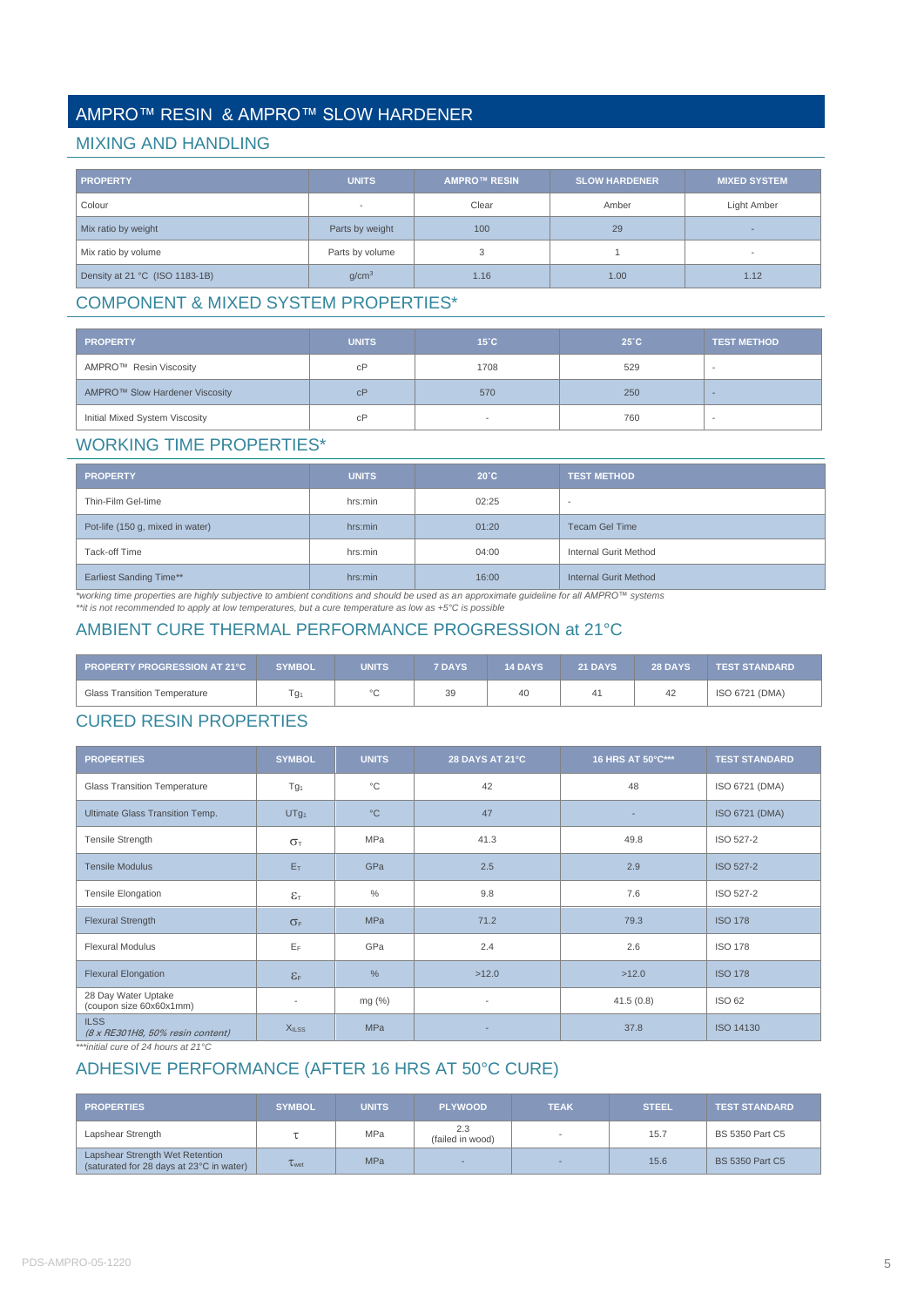# AMPRO™ RESIN & AMPRO™ SLOW HARDENER

#### MIXING AND HANDLING

| <b>PROPERTY</b>                | <b>UNITS</b>             | <b>AMPRO™ RESIN</b> | <b>SLOW HARDENER</b> | <b>MIXED SYSTEM</b>      |  |
|--------------------------------|--------------------------|---------------------|----------------------|--------------------------|--|
| Colour                         | $\overline{\phantom{a}}$ | Clear               | Amber                | Light Amber              |  |
| Mix ratio by weight            | Parts by weight          | 100                 | 29                   |                          |  |
| Mix ratio by volume            | Parts by volume          | 3                   |                      | $\overline{\phantom{a}}$ |  |
| Density at 21 °C (ISO 1183-1B) | q/cm <sup>3</sup>        | 1.16                | 1.00                 | 1.12                     |  |

# COMPONENT & MIXED SYSTEM PROPERTIES\*

| <b>PROPERTY</b>                | UNITS. | $15^{\circ}$ C | $25^{\circ}$ C | <b>TEST METHOD</b> |
|--------------------------------|--------|----------------|----------------|--------------------|
| AMPRO™ Resin Viscosity         | cP     | 1708           | 529            |                    |
| AMPRO™ Slow Hardener Viscosity | cP     | 570            | 250            |                    |
| Initial Mixed System Viscosity | cP     |                | 760            |                    |

### WORKING TIME PROPERTIES\*

| <b>PROPERTY</b>                  | <b>UNITS</b> | $20^{\circ}$ C | <b>TEST METHOD</b>    |
|----------------------------------|--------------|----------------|-----------------------|
| Thin-Film Gel-time               | hrs:min      | 02:25          |                       |
| Pot-life (150 g, mixed in water) | hrs:min      | 01:20          | <b>Tecam Gel Time</b> |
| Tack-off Time                    | hrs:min      | 04:00          | Internal Gurit Method |
| <b>Earliest Sanding Time**</b>   | hrs:min      | 16:00          | Internal Gurit Method |

\*working time properties are highly subjective to ambient conditions and should be used as an approximate guideline for all AMPRO™ systems<br>\*\*it is not recommended to apply at low temperatures, but a cure temperature as lo

# AMBIENT CURE THERMAL PERFORMANCE PROGRESSION at 21°C

| PROPERTY PROGRESSION AT 21°C        | <b>SYMBOL</b>    | UNITS   | <b>7 DAYS</b> | <b>14 DAYS</b> | <b>21 DAYS</b> | <b>28 DAYS</b> | <b>TEST STANDARD</b> |
|-------------------------------------|------------------|---------|---------------|----------------|----------------|----------------|----------------------|
| <b>Glass Transition Temperature</b> | l g <sub>1</sub> | $\circ$ | 39            | 40             | 41             | 42             | ISO 6721 (DMA)       |

### CURED RESIN PROPERTIES

| <b>PROPERTIES</b>                                       | <b>SYMBOL</b>                | <b>UNITS</b> | 28 DAYS AT 21°C          | 16 HRS AT 50°C*** | <b>TEST STANDARD</b> |
|---------------------------------------------------------|------------------------------|--------------|--------------------------|-------------------|----------------------|
| <b>Glass Transition Temperature</b>                     | Tg <sub>1</sub>              | $^{\circ}C$  | 42                       | 48                | ISO 6721 (DMA)       |
| Ultimate Glass Transition Temp.                         | UTg <sub>1</sub>             | $^{\circ}C$  | 47                       |                   | ISO 6721 (DMA)       |
| Tensile Strength                                        | $\sigma_{\text{t}}$          | <b>MPa</b>   | 41.3                     | 49.8              | ISO 527-2            |
| <b>Tensile Modulus</b>                                  | $E_T$                        | GPa          | 2.5                      | 2.9               | <b>ISO 527-2</b>     |
| Tensile Elongation                                      | $\epsilon_{\text{\tiny T}}$  | $\%$         | 9.8                      | 7.6               | ISO 527-2            |
| <b>Flexural Strength</b>                                | $\sigma_F$                   | <b>MPa</b>   | 71.2                     | 79.3              | <b>ISO 178</b>       |
| <b>Flexural Modulus</b>                                 | $E_F$                        | GPa          | 2.4                      | 2.6               | <b>ISO 178</b>       |
| <b>Flexural Elongation</b>                              | $\epsilon_{\text{\tiny{F}}}$ | $\%$         | >12.0                    | >12.0             | <b>ISO 178</b>       |
| 28 Day Water Uptake<br>(coupon size 60x60x1mm)          | $\overline{\phantom{a}}$     | mg (%)       | $\overline{\phantom{a}}$ | 41.5(0.8)         | <b>ISO 62</b>        |
| <b>ILSS</b><br>$(8 \times RE301H8, 50\%$ resin content) | <b>XILSS</b>                 | <b>MPa</b>   | ٠                        | 37.8              | <b>ISO 14130</b>     |

*\*\*\*initial cure of 24 hours at 21°C*

### ADHESIVE PERFORMANCE (AFTER 16 HRS AT 50°C CURE)

| <b>PROPERTIES</b>                                                           | <b>SYMBOL</b> | <b>UNITS</b> | <b>PLYWOOD</b>          | <b>TEAK</b> | <b>STEEL</b> | <b>TEST STANDARD</b>   |
|-----------------------------------------------------------------------------|---------------|--------------|-------------------------|-------------|--------------|------------------------|
| Lapshear Strength                                                           |               | MPa          | 2.3<br>(failed in wood) |             | 15.7         | <b>BS 5350 Part C5</b> |
| Lapshear Strength Wet Retention<br>(saturated for 28 days at 23°C in water) | $L_{Wet}$     | <b>MPa</b>   |                         | -           | 15.6         | <b>BS 5350 Part C5</b> |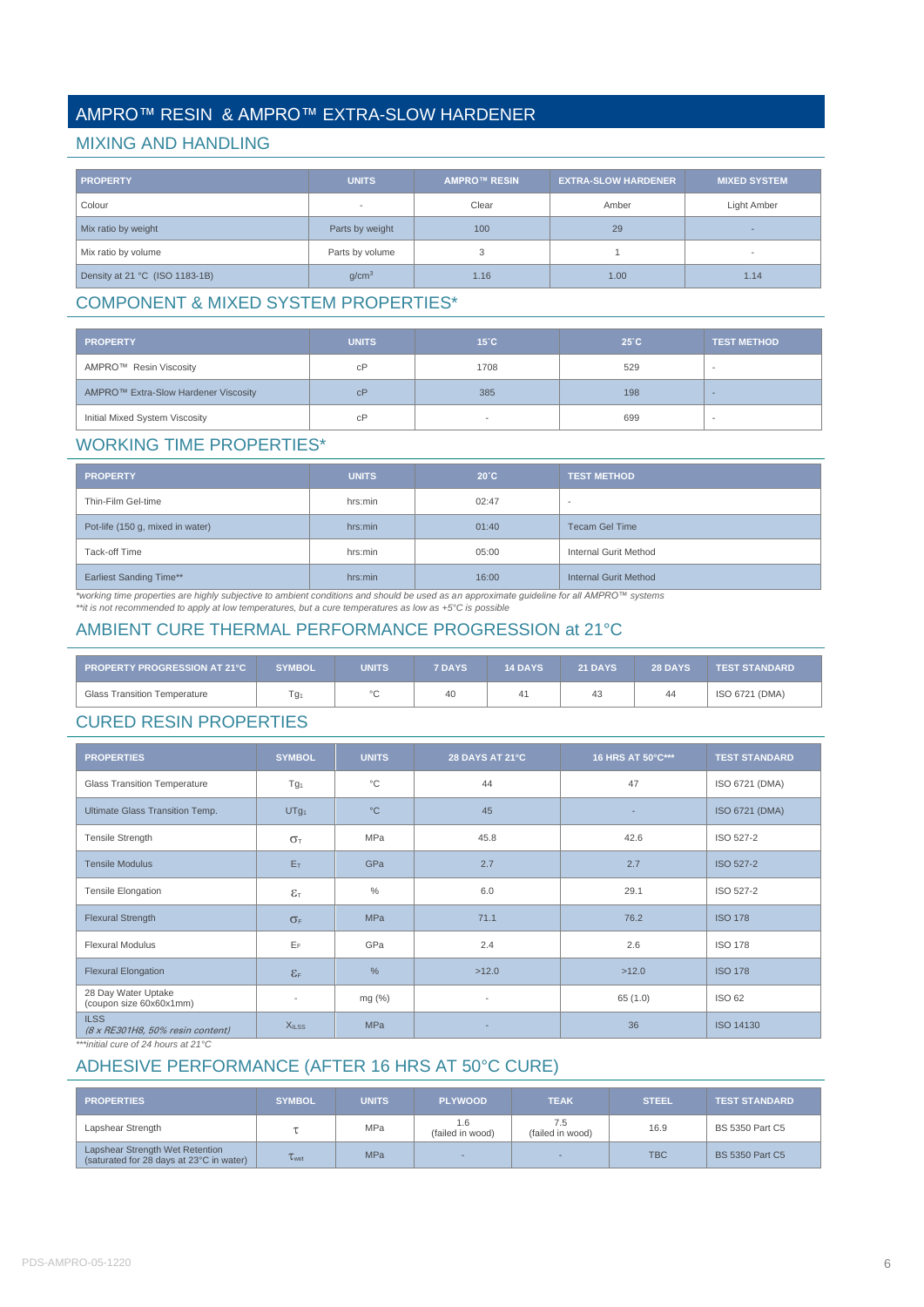# AMPRO™ RESIN & AMPRO™ EXTRA-SLOW HARDENER

#### MIXING AND HANDLING

| <b>PROPERTY</b>                | <b>UNITS</b>             | <b>AMPRO™ RESIN</b> | <b>EXTRA-SLOW HARDENER</b> | <b>MIXED SYSTEM</b>      |
|--------------------------------|--------------------------|---------------------|----------------------------|--------------------------|
| Colour                         | $\overline{\phantom{a}}$ | Clear               | Amber                      | Light Amber              |
| Mix ratio by weight            | Parts by weight          | 100                 | 29                         |                          |
| Mix ratio by volume            | Parts by volume          | 3                   |                            | $\overline{\phantom{a}}$ |
| Density at 21 °C (ISO 1183-1B) | q/cm <sup>3</sup>        | 1.16                | 1.00                       | 1.14                     |

# COMPONENT & MIXED SYSTEM PROPERTIES\*

| <b>PROPERTY</b>                      | <b>UNITS</b> | $15^{\circ}$ C | $25^{\circ}$ C | <b>TEST METHOD</b> |
|--------------------------------------|--------------|----------------|----------------|--------------------|
| AMPRO™ Resin Viscosity               | cP           | 1708           | 529            |                    |
| AMPRO™ Extra-Slow Hardener Viscosity | cP           | 385            | 198            |                    |
| Initial Mixed System Viscosity       | cP           |                | 699            |                    |

### WORKING TIME PROPERTIES\*

| <b>PROPERTY</b>                  | <b>UNITS</b> | $20^{\circ}$ C | <b>TEST METHOD</b>           |
|----------------------------------|--------------|----------------|------------------------------|
| Thin-Film Gel-time               | hrs:min      | 02:47          | $\overline{\phantom{a}}$     |
| Pot-life (150 g, mixed in water) | hrs:min      | 01:40          | <b>Tecam Gel Time</b>        |
| Tack-off Time                    | hrs:min      | 05:00          | Internal Gurit Method        |
| <b>Earliest Sanding Time**</b>   | hrs:min      | 16:00          | <b>Internal Gurit Method</b> |

\*working time properties are highly subjective to ambient conditions and should be used as an approximate guideline for all AMPRO™ systems<br>\*\*it is not recommended to apply at low temperatures, but a cure temperatures as l

# AMBIENT CURE THERMAL PERFORMANCE PROGRESSION at 21°C

| <b>PROPERTY PROGRESSION AT 21°C</b> | SYMBOL | UNITS  | <b>7 DAYS</b> | <b>14 DAYS</b> | <b>21 DAYS</b> | <b>28 DAYS</b> | <b>TEST STANDARD</b> |
|-------------------------------------|--------|--------|---------------|----------------|----------------|----------------|----------------------|
| <b>Glass Transition Temperature</b> | Гg1    | $\sim$ | 40            |                | 43             | 44             | ISO 6721 (DMA)       |

### CURED RESIN PROPERTIES

| <b>PROPERTIES</b>                               | <b>SYMBOL</b>              | <b>UNITS</b> | 28 DAYS AT 21°C          | 16 HRS AT 50°C*** | <b>TEST STANDARD</b> |
|-------------------------------------------------|----------------------------|--------------|--------------------------|-------------------|----------------------|
| <b>Glass Transition Temperature</b>             | Tg <sub>1</sub>            | $^{\circ}$ C | 44                       | 47                | ISO 6721 (DMA)       |
| Ultimate Glass Transition Temp.                 | UTg <sub>1</sub>           | $^{\circ}C$  | 45                       |                   | ISO 6721 (DMA)       |
| Tensile Strength                                | $\sigma_{\text{t}}$        | <b>MPa</b>   | 45.8                     | 42.6              | ISO 527-2            |
| <b>Tensile Modulus</b>                          | $E_T$                      | GPa          | 2.7                      | 2.7               | <b>ISO 527-2</b>     |
| Tensile Elongation                              | $\varepsilon$ <sub>T</sub> | $\%$         | 6.0                      | 29.1              | ISO 527-2            |
| <b>Flexural Strength</b>                        | $\sigma_F$                 | <b>MPa</b>   | 71.1                     | 76.2              | <b>ISO 178</b>       |
| <b>Flexural Modulus</b>                         | $E_F$                      | GPa          | 2.4                      | 2.6               | <b>ISO 178</b>       |
| <b>Flexural Elongation</b>                      | $\epsilon$ <sub>F</sub>    | $\%$         | >12.0                    | >12.0             | <b>ISO 178</b>       |
| 28 Day Water Uptake<br>(coupon size 60x60x1mm)  | $\overline{\phantom{a}}$   | mg (%)       | $\overline{\phantom{a}}$ | 65 (1.0)          | <b>ISO 62</b>        |
| <b>ILSS</b><br>(8 x RE301H8, 50% resin content) | X <sub>ILSS</sub>          | <b>MPa</b>   |                          | 36                | ISO 14130            |

*\*\*\*initial cure of 24 hours at 21°C*

# ADHESIVE PERFORMANCE (AFTER 16 HRS AT 50°C CURE)

| <b>PROPERTIES</b>                                                           | <b>SYMBOL</b> | <b>UNITS</b> | <b>PLYWOOD</b>          | <b>TEAK</b>             | <b>STEEL</b> | <b>TEST STANDARD</b>   |
|-----------------------------------------------------------------------------|---------------|--------------|-------------------------|-------------------------|--------------|------------------------|
| Lapshear Strength                                                           |               | <b>MPa</b>   | 1.6<br>(failed in wood) | 7.5<br>(failed in wood) | 16.9         | <b>BS 5350 Part C5</b> |
| Lapshear Strength Wet Retention<br>(saturated for 28 days at 23°C in water) | Twet          | <b>MPa</b>   |                         | -                       | <b>TBC</b>   | <b>BS 5350 Part C5</b> |